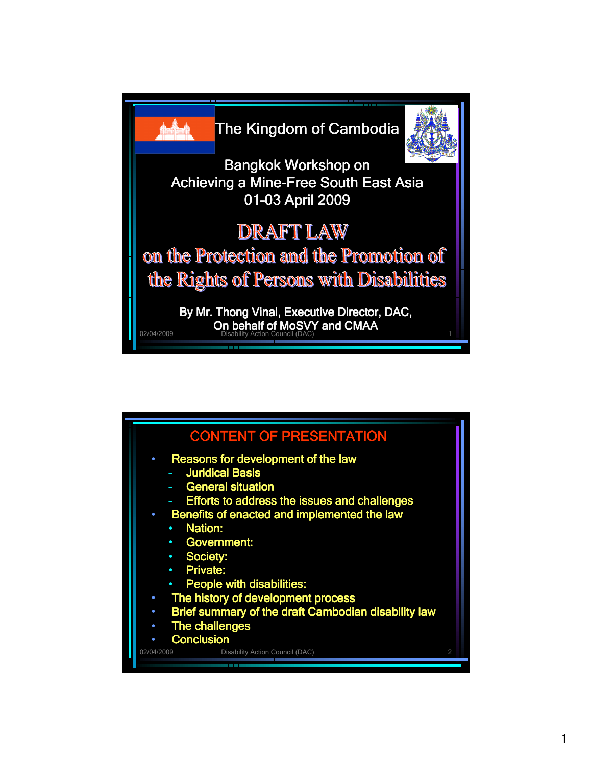

|                                     | <b>CONTENT OF PRESENTATION</b>                                                                                                                                                                                                                                                                                                                                                                                                   |               |
|-------------------------------------|----------------------------------------------------------------------------------------------------------------------------------------------------------------------------------------------------------------------------------------------------------------------------------------------------------------------------------------------------------------------------------------------------------------------------------|---------------|
| $\bullet$<br>$\bullet$<br>$\bullet$ | Reasons for development of the law<br>- Juridical Basis<br>- General situation<br>- Efforts to address the issues and challenges<br>Benefits of enacted and implemented the law<br><b>Nation:</b><br><b>Government:</b><br>$\bullet$<br><b>Society:</b><br>$\bullet$<br>• Private:<br>• People with disabilities:<br>The history of development process<br>Brief summary of the draft Cambodian disability law<br>The challenges |               |
|                                     | <b>Conclusion</b>                                                                                                                                                                                                                                                                                                                                                                                                                |               |
| 02/04/2009                          | Disability Action Council (DAC)                                                                                                                                                                                                                                                                                                                                                                                                  | $\mathcal{P}$ |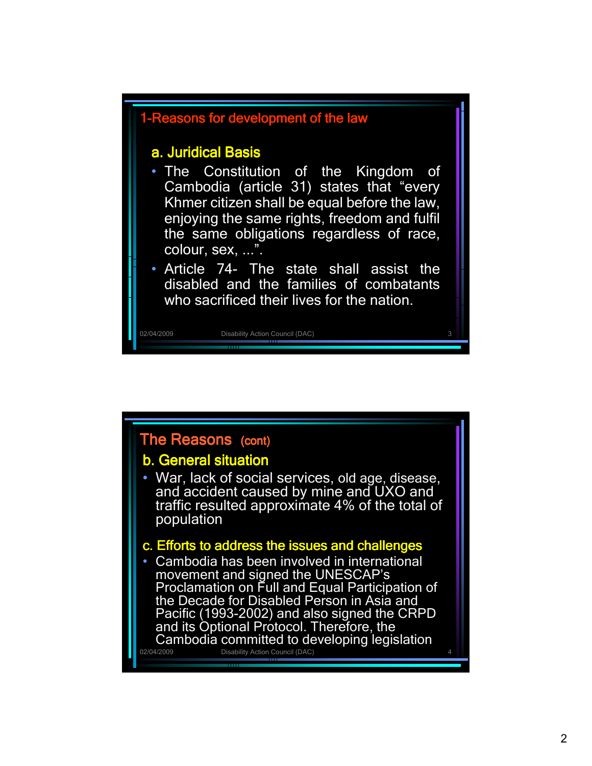

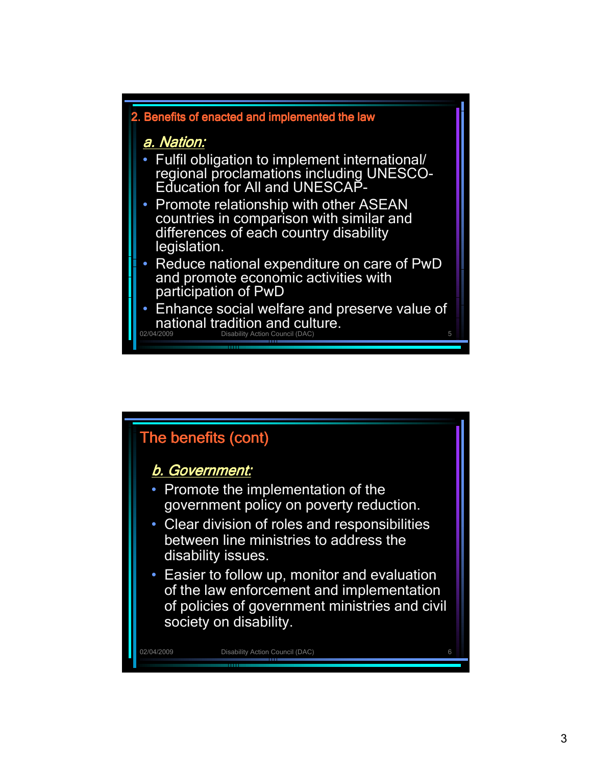

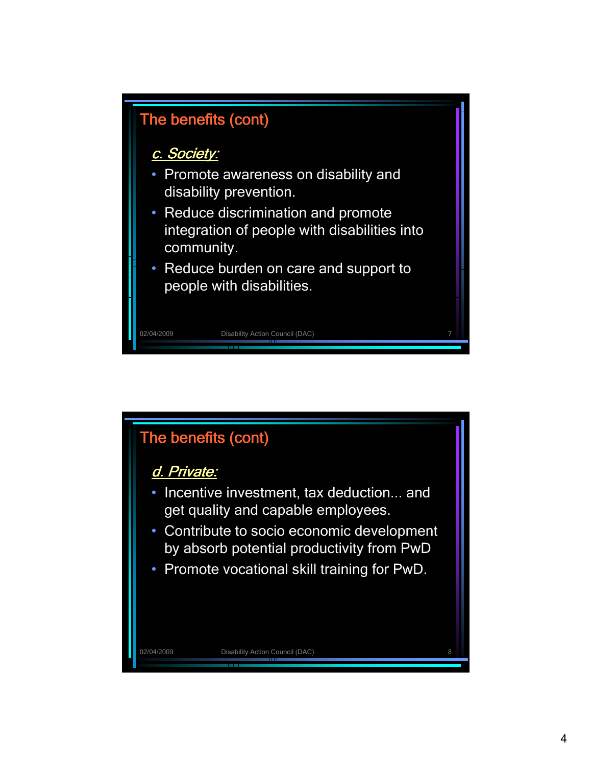

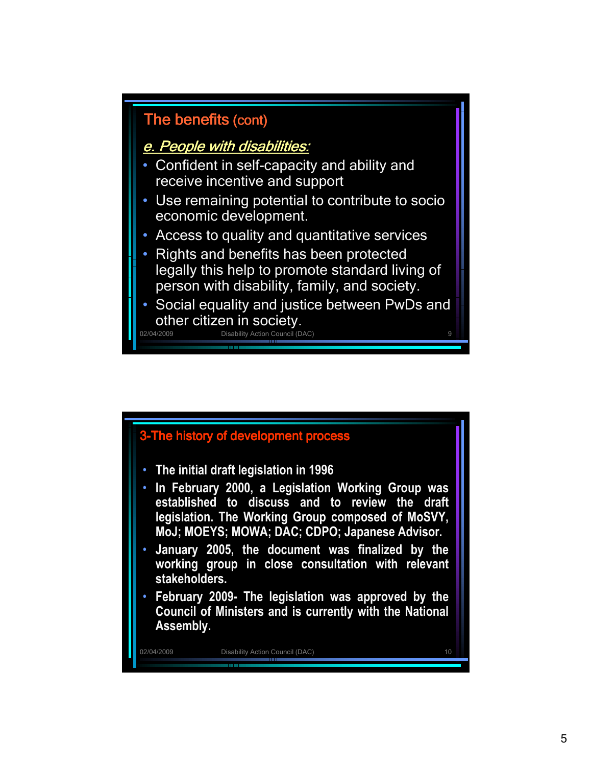

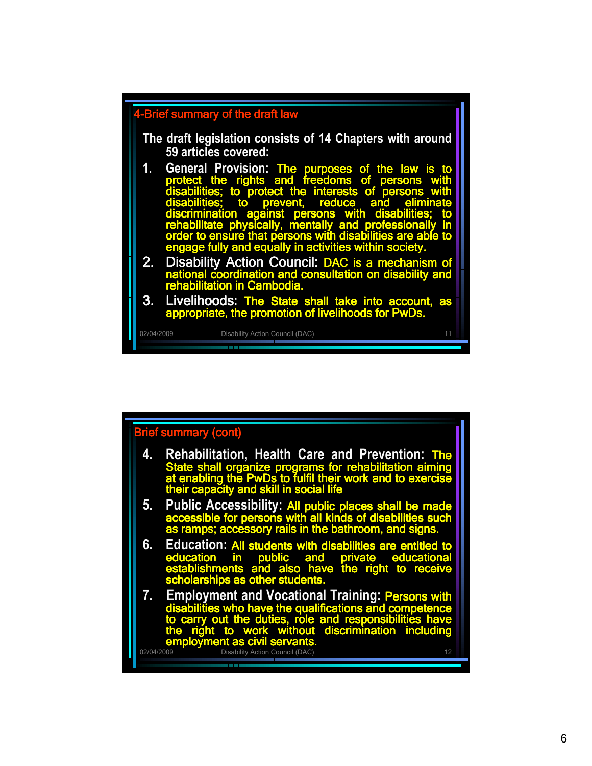

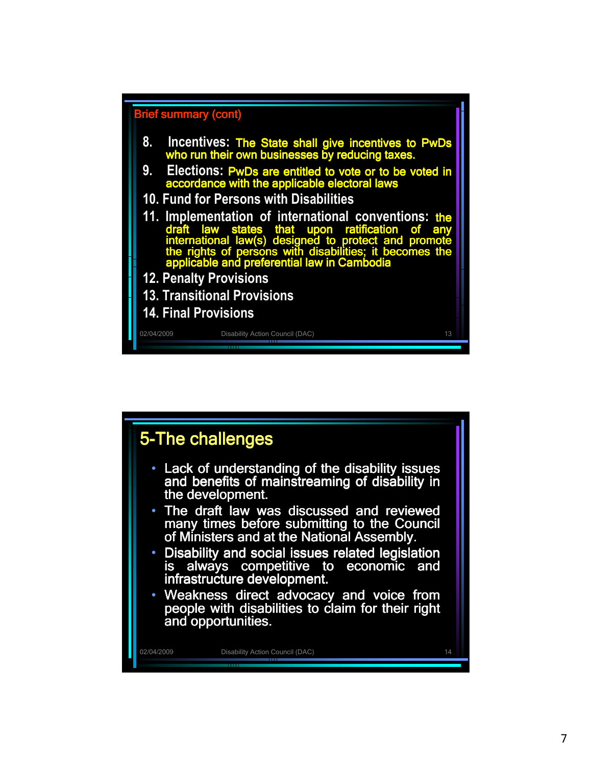